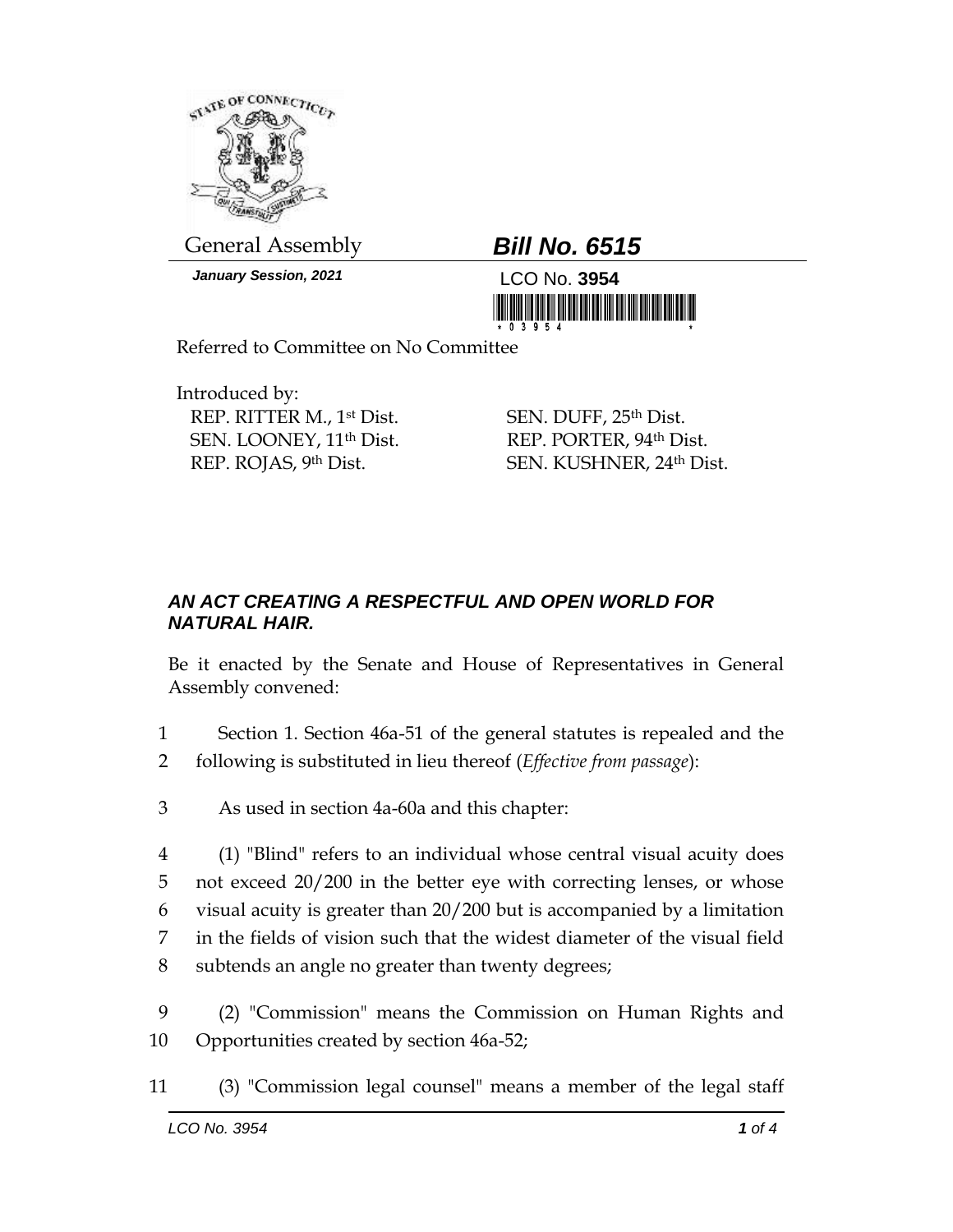

General Assembly *Bill No. 6515*

*January Session, 2021* LCO No. **3954**



Referred to Committee on No Committee

Introduced by: REP. RITTER M., 1st Dist. SEN. LOONEY, 11th Dist. REP. ROJAS, 9th Dist.

SEN. DUFF, 25<sup>th</sup> Dist. REP. PORTER, 94th Dist. SEN. KUSHNER, 24th Dist.

## *AN ACT CREATING A RESPECTFUL AND OPEN WORLD FOR NATURAL HAIR.*

Be it enacted by the Senate and House of Representatives in General Assembly convened:

- 1 Section 1. Section 46a-51 of the general statutes is repealed and the 2 following is substituted in lieu thereof (*Effective from passage*):
- 3 As used in section 4a-60a and this chapter:

 (1) "Blind" refers to an individual whose central visual acuity does not exceed 20/200 in the better eye with correcting lenses, or whose visual acuity is greater than 20/200 but is accompanied by a limitation in the fields of vision such that the widest diameter of the visual field subtends an angle no greater than twenty degrees;

- 9 (2) "Commission" means the Commission on Human Rights and 10 Opportunities created by section 46a-52;
- 11 (3) "Commission legal counsel" means a member of the legal staff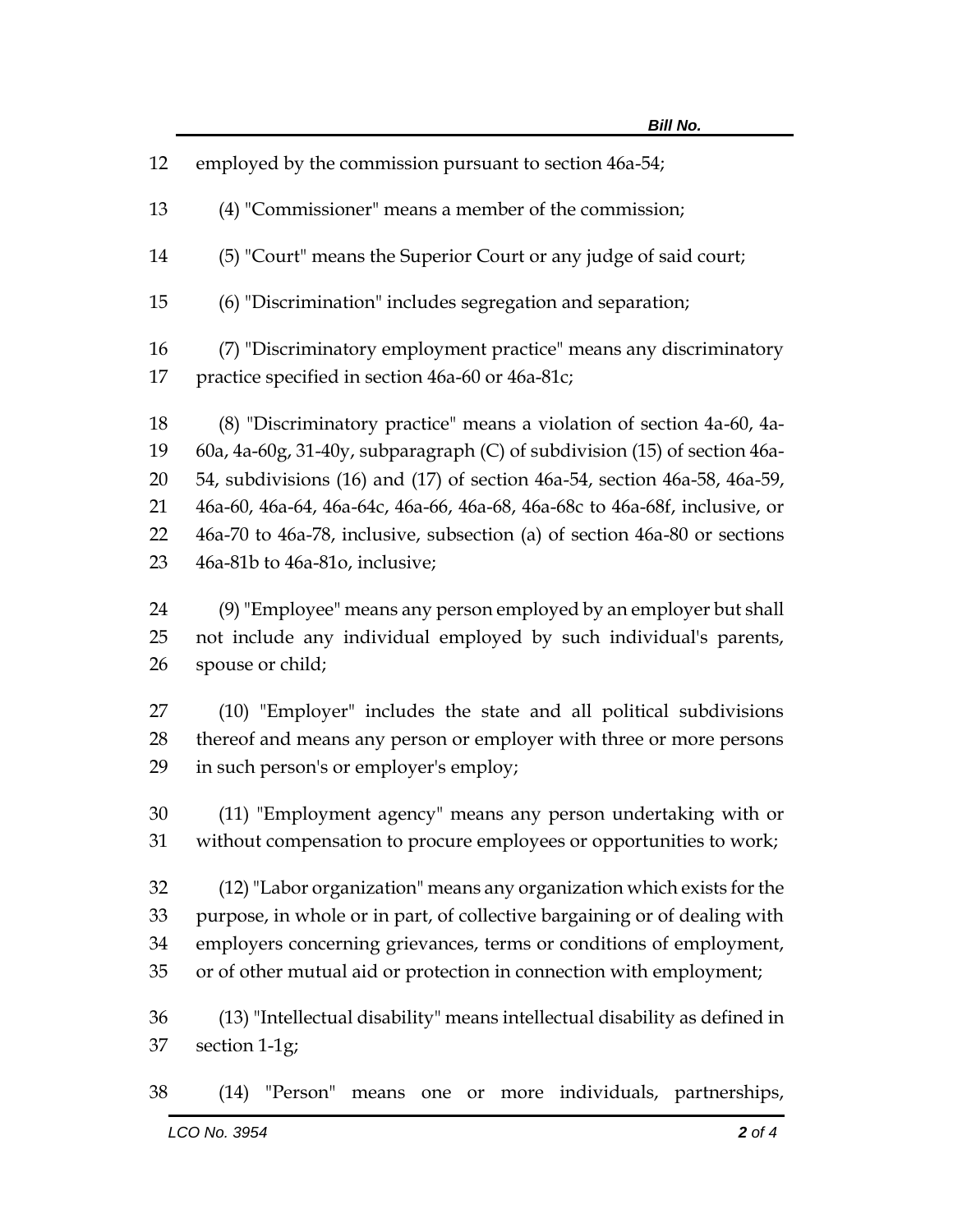| 12 | employed by the commission pursuant to section 46a-54;                     |
|----|----------------------------------------------------------------------------|
| 13 | (4) "Commissioner" means a member of the commission;                       |
| 14 | (5) "Court" means the Superior Court or any judge of said court;           |
| 15 | (6) "Discrimination" includes segregation and separation;                  |
| 16 | (7) "Discriminatory employment practice" means any discriminatory          |
| 17 | practice specified in section 46a-60 or 46a-81c;                           |
| 18 | (8) "Discriminatory practice" means a violation of section 4a-60, 4a-      |
| 19 | 60a, 4a-60g, 31-40y, subparagraph (C) of subdivision (15) of section 46a-  |
| 20 | 54, subdivisions (16) and (17) of section 46a-54, section 46a-58, 46a-59,  |
| 21 | 46a-60, 46a-64, 46a-64c, 46a-66, 46a-68, 46a-68c to 46a-68f, inclusive, or |
| 22 | 46a-70 to 46a-78, inclusive, subsection (a) of section 46a-80 or sections  |
| 23 | 46a-81b to 46a-81o, inclusive;                                             |
| 24 | (9) "Employee" means any person employed by an employer but shall          |
| 25 | not include any individual employed by such individual's parents,          |
| 26 | spouse or child;                                                           |
| 27 | (10) "Employer" includes the state and all political subdivisions          |
| 28 | thereof and means any person or employer with three or more persons        |
| 29 | in such person's or employer's employ;                                     |
| 30 | (11) "Employment agency" means any person undertaking with or              |
| 31 | without compensation to procure employees or opportunities to work;        |
| 32 | (12) "Labor organization" means any organization which exists for the      |
| 33 | purpose, in whole or in part, of collective bargaining or of dealing with  |
| 34 | employers concerning grievances, terms or conditions of employment,        |
| 35 | or of other mutual aid or protection in connection with employment;        |
| 36 | (13) "Intellectual disability" means intellectual disability as defined in |

(14) "Person" means one or more individuals, partnerships,

section 1-1g;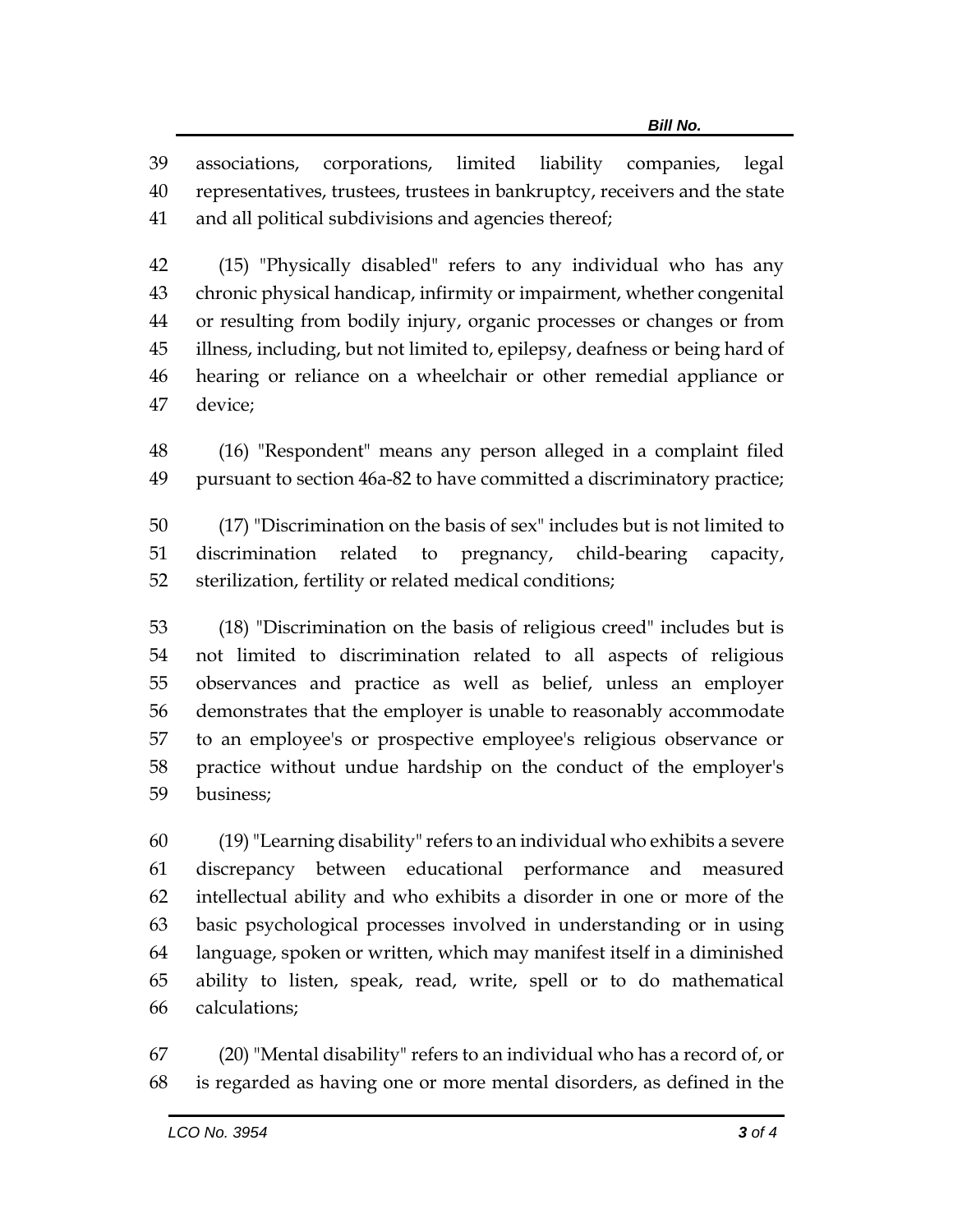associations, corporations, limited liability companies, legal representatives, trustees, trustees in bankruptcy, receivers and the state and all political subdivisions and agencies thereof;

 (15) "Physically disabled" refers to any individual who has any chronic physical handicap, infirmity or impairment, whether congenital or resulting from bodily injury, organic processes or changes or from illness, including, but not limited to, epilepsy, deafness or being hard of hearing or reliance on a wheelchair or other remedial appliance or device;

 (16) "Respondent" means any person alleged in a complaint filed pursuant to section 46a-82 to have committed a discriminatory practice;

 (17) "Discrimination on the basis of sex" includes but is not limited to discrimination related to pregnancy, child-bearing capacity, sterilization, fertility or related medical conditions;

 (18) "Discrimination on the basis of religious creed" includes but is not limited to discrimination related to all aspects of religious observances and practice as well as belief, unless an employer demonstrates that the employer is unable to reasonably accommodate to an employee's or prospective employee's religious observance or practice without undue hardship on the conduct of the employer's business;

 (19)"Learning disability" refers to an individual who exhibits a severe discrepancy between educational performance and measured intellectual ability and who exhibits a disorder in one or more of the basic psychological processes involved in understanding or in using language, spoken or written, which may manifest itself in a diminished ability to listen, speak, read, write, spell or to do mathematical calculations;

 (20) "Mental disability" refers to an individual who has a record of, or is regarded as having one or more mental disorders, as defined in the